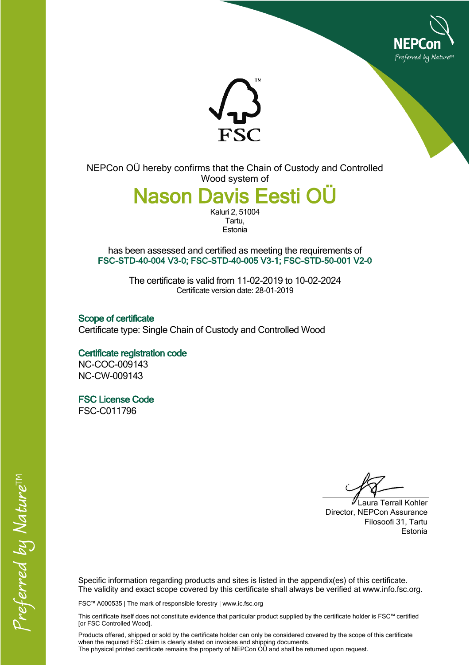



NEPCon OÜ hereby confirms that the Chain of Custody and Controlled Wood system of

> **Nason Davis Eesti OÜ** Kaluri 2, 51004

Tartu, **Estonia** 

has been assessed and certified as meeting the requirements of **FSC-STD-40-004 V3-0; FSC-STD-40-005 V3-1; FSC-STD-50-001 V2-0**

> The certificate is valid from 11-02-2019 to 10-02-2024 Certificate version date: 28-01-2019

**Scope of certificate** Certificate type: Single Chain of Custody and Controlled Wood

**Certificate registration code** NC-COC-009143 NC-CW-009143

**FSC License Code** FSC-C011796

Laura Terrall Kohler Director, NEPCon Assurance Filosoofi 31, Tartu Estonia

Specific information regarding products and sites is listed in the appendix(es) of this certificate. The validity and exact scope covered by this certificate shall always be verified at www.info.fsc.org.

FSC™ A000535 | The mark of responsible forestry | www.ic.fsc.org

This certificate itself does not constitute evidence that particular product supplied by the certificate holder is FSC™ certified [or FSC Controlled Wood].

Products offered, shipped or sold by the certificate holder can only be considered covered by the scope of this certificate when the required FSC claim is clearly stated on invoices and shipping documents. The physical printed certificate remains the property of NEPCon OÜ and shall be returned upon request.